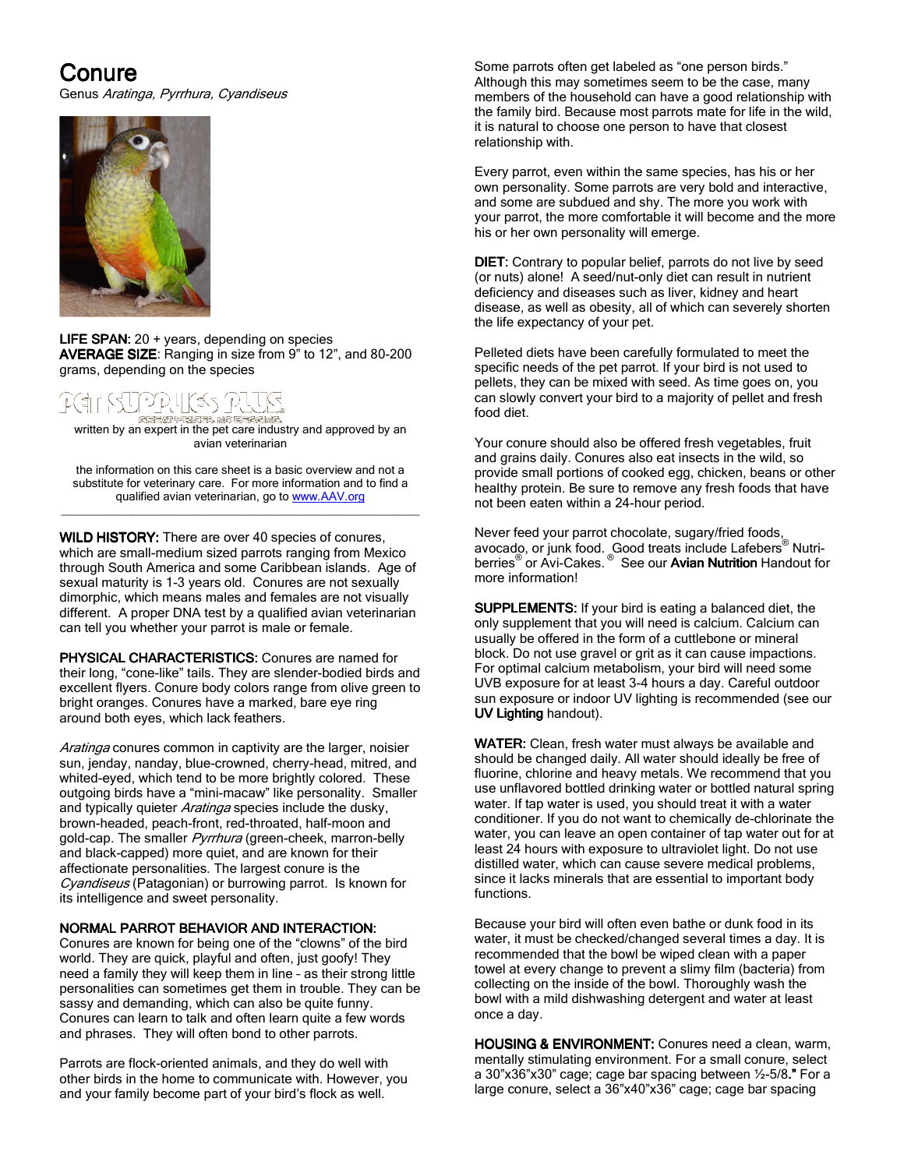# Conure

Genus Aratinga, Pyrrhura, Cyandiseus



**LIFE SPAN:** 20 + years, depending on species AVERAGE SIZE: Ranging in size from 9" to 12", and 80-200 grams, depending on the species

#### [é5] 그리다 GEREAT LETTER NO CHARLING

written by an expert in the pet care in the start and approved by an<br>written by an expert in the pet care industry and approved by an avian veterinarian

the information on this care sheet is a basic overview and not a substitute for veterinary care. For more information and to find a qualified avian veterinarian, go to www.AAV.org \_\_\_\_\_\_\_\_\_\_\_\_\_\_\_\_\_\_\_\_\_\_\_\_\_\_\_\_\_\_\_\_\_\_\_\_\_\_\_\_\_\_\_\_\_\_\_\_\_\_\_\_\_\_\_

WILD HISTORY: There are over 40 species of conures, which are small-medium sized parrots ranging from Mexico through South America and some Caribbean islands. Age of sexual maturity is 1-3 years old. Conures are not sexually dimorphic, which means males and females are not visually different. A proper DNA test by a qualified avian veterinarian can tell you whether your parrot is male or female.

PHYSICAL CHARACTERISTICS: Conures are named for their long, "cone-like" tails. They are slender-bodied birds and excellent flyers. Conure body colors range from olive green to bright oranges. Conures have a marked, bare eye ring around both eyes, which lack feathers.

Aratinga conures common in captivity are the larger, noisier sun, jenday, nanday, blue-crowned, cherry-head, mitred, and whited-eyed, which tend to be more brightly colored. These outgoing birds have a "mini-macaw" like personality. Smaller and typically quieter Aratinga species include the dusky, brown-headed, peach-front, red-throated, half-moon and gold-cap. The smaller *Pyrrhura* (green-cheek, marron-belly and black-capped) more quiet, and are known for their affectionate personalities. The largest conure is the Cyandiseus (Patagonian) or burrowing parrot. Is known for its intelligence and sweet personality.

# NORMAL PARROT BEHAVIOR AND INTERACTION:

Conures are known for being one of the "clowns" of the bird world. They are quick, playful and often, just goofy! They need a family they will keep them in line – as their strong little personalities can sometimes get them in trouble. They can be sassy and demanding, which can also be quite funny. Conures can learn to talk and often learn quite a few words and phrases. They will often bond to other parrots.

Parrots are flock-oriented animals, and they do well with other birds in the home to communicate with. However, you and your family become part of your bird's flock as well.

Some parrots often get labeled as "one person birds." Although this may sometimes seem to be the case, many members of the household can have a good relationship with the family bird. Because most parrots mate for life in the wild, it is natural to choose one person to have that closest relationship with.

Every parrot, even within the same species, has his or her own personality. Some parrots are very bold and interactive, and some are subdued and shy. The more you work with your parrot, the more comfortable it will become and the more his or her own personality will emerge.

DIET: Contrary to popular belief, parrots do not live by seed (or nuts) alone! A seed/nut-only diet can result in nutrient deficiency and diseases such as liver, kidney and heart disease, as well as obesity, all of which can severely shorten the life expectancy of your pet.

Pelleted diets have been carefully formulated to meet the specific needs of the pet parrot. If your bird is not used to pellets, they can be mixed with seed. As time goes on, you can slowly convert your bird to a majority of pellet and fresh food diet.

Your conure should also be offered fresh vegetables, fruit and grains daily. Conures also eat insects in the wild, so provide small portions of cooked egg, chicken, beans or other healthy protein. Be sure to remove any fresh foods that have not been eaten within a 24-hour period.

Never feed your parrot chocolate, sugary/fried foods, avocado, or junk food. Good treats include Lafebers® Nutriberries<sup>®</sup> or Avi-Cakes.<sup>®</sup> See our Avian Nutrition Handout for more information!

SUPPLEMENTS: If your bird is eating a balanced diet, the only supplement that you will need is calcium. Calcium can usually be offered in the form of a cuttlebone or mineral block. Do not use gravel or grit as it can cause impactions. For optimal calcium metabolism, your bird will need some UVB exposure for at least 3-4 hours a day. Careful outdoor sun exposure or indoor UV lighting is recommended (see our UV Lighting handout).

WATER: Clean, fresh water must always be available and should be changed daily. All water should ideally be free of fluorine, chlorine and heavy metals. We recommend that you use unflavored bottled drinking water or bottled natural spring water. If tap water is used, you should treat it with a water conditioner. If you do not want to chemically de-chlorinate the water, you can leave an open container of tap water out for at least 24 hours with exposure to ultraviolet light. Do not use distilled water, which can cause severe medical problems, since it lacks minerals that are essential to important body functions.

Because your bird will often even bathe or dunk food in its water, it must be checked/changed several times a day. It is recommended that the bowl be wiped clean with a paper towel at every change to prevent a slimy film (bacteria) from collecting on the inside of the bowl. Thoroughly wash the bowl with a mild dishwashing detergent and water at least once a day.

HOUSING & ENVIRONMENT: Conures need a clean, warm, mentally stimulating environment. For a small conure, select a 30"x36"x30" cage; cage bar spacing between ½-5/8." For a large conure, select a 36"x40"x36" cage; cage bar spacing